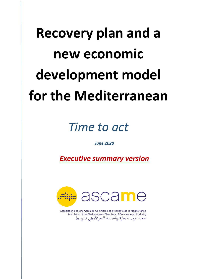# **Recovery plan and a new economic development model for the Mediterranean**

# *Time to act*

*June 2020*

*Executive summary version*



Association des Chambres de Commerce et d'Industrie de la Méditerranée Association of the Mediterranean Chambers of Commerce and Industry جمعية غرف التجارة والصناعة للبحرالأبيض المتوسط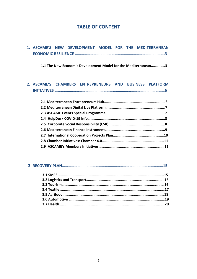#### **TABLE OF CONTENT**

|  |  |  |  |  |  | 1. ASCAME'S NEW DEVELOPMENT MODEL FOR THE MEDITERRANEAN |  |
|--|--|--|--|--|--|---------------------------------------------------------|--|
|  |  |  |  |  |  |                                                         |  |

**1.1 The New Economic Development Model for the Mediterranean……………3**

#### **2. ASCAME'S CHAMBERS ENTREPRENEURS AND BUSINESS PLATFORM INITIATIVES ………………………………………………………………………………………………6**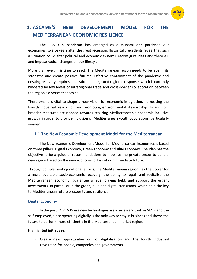

## **1. ASCAME'S NEW DEVELOPMENT MODEL FOR THE MEDITERRANEAN ECONOMIC RESILIENCE**

The COVID-19 pandemic has emerged as a tsunami and paralysed our economies, twelve years after the great recession. Historical precedents reveal that such a situation could alter political and economic systems, reconfigure ideas and theories, and impose radical changes on our lifestyle.

More than ever, it is time to react. The Mediterranean region needs to believe in its strengths and create positive futures. Effective containment of the pandemic and ensuing recovery requires a holistic and integrated regional response, which is currently hindered by low levels of intraregional trade and cross-border collaboration between the region's diverse economies.

Therefore, it is vital to shape a new vision for economic integration, harnessing the Fourth Industrial Revolution and promoting environmental stewardship. In addition, broader measures are needed towards realizing Mediterranean's economic inclusive growth, in order to provide inclusion of Mediterranean youth populations, particularly women.

#### **1.1 The New Economic Development Model for the Mediterranean**

The New Economic Development Model for Mediterranean Economies is based on three pillars: Digital Economy, Green Economy and Blue Economy. The Plan has the objective to be a guide of recommendations to mobilise the private sector to build a new region based on the new economic pillars of our immediate future.

Through complementing national efforts, the Mediterranean region has the power for a more equitable socio-economic recovery, the ability to repair and revitalise the Mediterranean economy, guarantee a level playing field, and support the urgent investments, in particular in the green, blue and digital transitions, which hold the key to Mediterranean future prosperity and resilience.

#### **Digital Economy**

In the post COVID-19 era new technologies are a necessary tool for SMEs and the self-employed, since operating digitally is the only way to stay in business and shows the future to perform more efficiently in the Mediterranean market region.

#### **Highlighted initiatives:**

 $\checkmark$  Create new opportunities out of digitalisation and the fourth industrial revolution for people, companies and governments.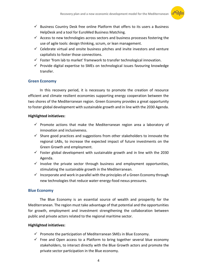

- $\checkmark$  Business Country Desk free online Platform that offers to its users a Business HelpDesk and a tool for EuroMed Business Matching.
- $\checkmark$  Access to new technologies across sectors and business processes fostering the use of agile tools: design thinking, scrum, or lean management.
- $\checkmark$  Celebrate virtual and onsite business pitches and invite investors and venture capitalists to foster those connections.
- $\checkmark$  Foster 'from lab to market' framework to transfer technological innovation.
- $\checkmark$  Provide digital expertise to SMEs on technological issues favouring knowledge transfer.

#### **Green Economy**

In this recovery period, it is necessary to promote the creation of resource efficient and climate resilient economies supporting energy cooperation between the two shores of the Mediterranean region. Green Economy provides a great opportunity to foster global development with sustainable growth and in line with the 2030 Agenda.

#### **Highlighted initiatives:**

- $\checkmark$  Promote actions that make the Mediterranean region area a laboratory of innovation and inclusiveness.
- $\checkmark$  Share good practices and suggestions from other stakeholders to innovate the regional LABs, to increase the expected impact of future investments on the Green Growth and employment.
- $\checkmark$  Foster global development with sustainable growth and in line with the 2030 Agenda.
- $\checkmark$  Involve the private sector through business and employment opportunities, stimulating the sustainable growth in the Mediterranean.
- $\checkmark$  Incorporate and work in parallel with the principles of a Green Economy through new technologies that reduce water-energy-food nexus pressures.

#### **Blue Economy**

The Blue Economy is an essential source of wealth and prosperity for the Mediterranean. The region must take advantage of that potential and the opportunities for growth, employment and investment strengthening the collaboration between public and private actors related to the regional maritime sector.

#### **Highlighted initiatives:**

- $\checkmark$  Promote the participation of Mediterranean SMEs in Blue Economy.
- $\checkmark$  Free and Open access to a Platform to bring together several blue economy stakeholders, to interact directly with the Blue Growth actors and promote the private sector participation in the Blue economy.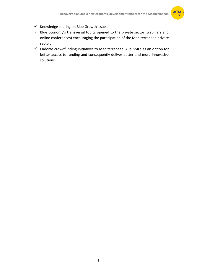

- $\checkmark$  Knowledge sharing on Blue Growth issues.
- $\checkmark$  Blue Economy's transversal topics opened to the private sector (webinars and online conferences) encouraging the participation of the Mediterranean private sector.
- $\checkmark$  Endorse crowdfunding initiatives to Mediterranean Blue SMEs as an option for better access to funding and consequently deliver better and more innovative solutions.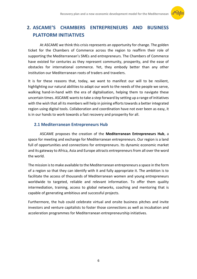

## **2. ASCAME'S CHAMBERS ENTREPRENEURS AND BUSINESS PLATFORM INITIATIVES**

At ASCAME we think this crisis represents an opportunity for change. The golden ticket for the Chambers of Commerce across the region to reaffirm their role of supporting the Mediterranean's SMEs and entrepreneurs. The Chambers of Commerce have existed for centuries as they represent community, prosperity, and the ease of obstacles for international commerce. Yet, they embody better than any other institution our Mediterranean roots of traders and travelers.

It is for these reasons that, today, we want to manifest our will to be resilient, highlighting our natural abilities to adapt our work to the needs of the people we serve, walking hand-in-hand with the era of digitalisation, helping them to navigate these uncertain times. ASCAME wants to take a step forward by setting up a range of initiatives with the wish that all its members will help in joining efforts towards a better integrated region using digital tools. Collaboration and coordination have not ever been as easy, it is in our hands to work towards a fast recovery and prosperity for all.

#### **2.1 Mediterranean Entrepreneurs Hub**

ASCAME proposes the creation of the **Mediterranean Entrepreneurs Hub**, a space for meeting and exchange for Mediterranean entrepreneurs. Our region is a land full of opportunities and connections for entrepreneurs. Its dynamic economic market and its gateway to Africa, Asia and Europe attracts entrepreneurs from all over the word the world.

The mission is to make available to the Mediterranean entrepreneurs a space in the form of a region so that they can identify with it and fully appropriate it. The ambition is to facilitate the access of thousands of Mediterranean women and young entrepreneurs worldwide to targeted, reliable and relevant information. To offer them quality intermediation, training, access to global networks, coaching and mentoring that is capable of generating ambitious and successful projects.

Furthermore, the hub could celebrate virtual and onsite business pitches and invite investors and venture capitalists to foster those connections as well as incubation and acceleration programmes for Mediterranean entrepreneurship initiatives.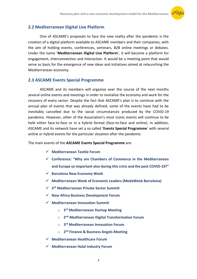

#### **2.2 Mediterranean Digital Live Platform**

One of ASCAME's proposals to face the new reality after the pandemic is the creation of a digital platform available to ASCAME members and their companies, with the aim of holding events, conferences, seminars, B2B online meetings or debates. Under the name '**Mediterranean Digital Live Platform**', it will become a platform for engagement, interconnection and interaction. It would be a meeting point that would serve as basis for the emergence of new ideas and initiatives aimed at relaunching the Mediterranean economy.

#### **2.3 ASCAME Events Special Programme**

ASCAME and its members will organise over the course of the next months several online events and meetings in order to revitalise the economy and work for the recovery of every sector. Despite the fact that ASCAME's plan is to continue with the annual plan of events that was already defined, some of the events have had to be inevitably cancelled due to the social circumstances produced by the COVID-19 pandemic. However, other of the Association's most iconic events will continue to be held either face-to-face or in a hybrid format (face-to-face and online). In addition, ASCAME and its network have set a so called '**Events Special Programme**' with several online or hybrid events for the particular situation after the pandemic.

The main events of the **ASCAME Events Special Programme** are:

- **Mediterranean Textile Forum**
- **Conference: "Why are Chambers of Commerce in the Mediterranean and Europe so important also during this crisis and the post COVID-19?"**
- **Barcelona New Economy Week**
- **Mediterranean Week of Economic Leaders (MedaWeek Barcelona)**
- **3 rd Mediterranean Private Sector Summit**
- **New Africa Business Development Forum**
- **Mediterranean Innovation Summit**
	- o **3 rd Mediterranean Startup Meeting**
	- o **2 nd Mediterranean Digital Transformation Forum**
	- o **3 rd Mediterranean Innovation Forum**
	- o **2 nd Finance & Business Angels Meeting**
- **Mediterranean Healthcare Forum**
- **Mediterranean Halal Industry Forum**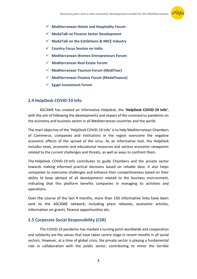

- **Mediterranean Hotels and Hospitality Forum**
- **MedaTalk on Finance Sector Development**
- **MedaTalk on the Exhibitions & MICE Industry**
- **Country Focus Session on India**
- **Mediterranean Women Entrepreneurs Forum**
- **Mediterranean Real Estate Forum**
- **Mediterranean Tourism Forum (MediTour)**
- **Mediterranean Finance Forum (MedaFinance)**
- **Egypt Investment Forum**

#### **2.4 HelpDesk COVID-19 Info**

ASCAME has created an informative Helpdesk, the '**HelpDesk COVID-19 Info'**, with the aim of following the developments and impact of the coronavirus pandemic on the economy and business sector in all Mediterranean countries and the world.

The main objective of the 'HelpDesk COVID-19 Info' is to help Mediterranean Chambers of Commerce, companies and institutions in the region overcome the negative economic effects of the spread of the virus. As an informative tool, the HelpDesk includes news, economic and educational resources and various economic viewpoints related to the current challenges and threats, as well as ways to confront them.

The HelpDesk COVID-19 Info contributes to guide Chambers and the private sector towards making informed practical decisions based on reliable data. It also helps companies to overcome challenges and enhance their competitiveness based on their ability to keep abreast of all developments related to the business environment, indicating that this platform benefits companies in managing its activities and operations.

Over the course of the last 4 months, more than 150 informative links have been sent to the ASCAME network, including press releases, economic articles, information on grants, finance opportunities etc.

#### **2.5 Corporate Social Responsibility (CSR)**

The COVID-19 pandemic has marked a turning point worldwide and cooperation and solidarity are the values that have taken centre stage in recent months in all social sectors. However, at a time of global crisis, the private sector is playing a fundamental role in collaboration with the public sector, contributing to minor the terrible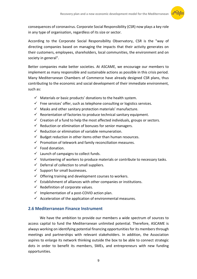

consequences of coronavirus. Corporate Social Responsibility (CSR) now plays a key role in any type of organisation, regardless of its size or sector.

According to the Corporate Social Responsibility Observatory, CSR is the "way of directing companies based on managing the impacts that their activity generates on their customers, employees, shareholders, local communities, the environment and on society in general".

Better companies make better societies. At ASCAME, we encourage our members to implement as many responsible and sustainable actions as possible in this crisis period. Many Mediterranean Chambers of Commerce have already designed CSR plans, thus contributing to the economic and social development of their immediate environment, such as:

- $\checkmark$  Materials or basic products' donations to the health system.
- $\checkmark$  Free services' offer, such as telephone consulting or logistics services.
- $\checkmark$  Masks and other sanitary protection materials' manufacture.
- $\checkmark$  Reorientation of factories to produce technical sanitary equipment.
- $\checkmark$  Creation of a fund to help the most affected individuals, groups or sectors.
- $\checkmark$  Reduction or elimination of bonuses for senior managers.
- $\checkmark$  Reduction or elimination of variable remuneration.
- $\checkmark$  Budget reduction in other items other than human resources.
- $\checkmark$  Promotion of telework and family reconciliation measures.
- $\checkmark$  Food donation.
- $\checkmark$  Launch of campaigns to collect funds.
- $\checkmark$  Volunteering of workers to produce materials or contribute to necessary tasks.
- $\checkmark$  Deferral of collection to small suppliers.
- $\checkmark$  Support for small businesses.
- $\checkmark$  Offering training and development courses to workers.
- $\checkmark$  Establishment of alliances with other companies or institutions.
- $\checkmark$  Redefinition of corporate values.
- $\checkmark$  Implementation of a post-COVID action plan.
- $\checkmark$  Acceleration of the application of environmental measures.

#### **2.6 Mediterranean Finance Instrument**

We have the ambition to provide our members a wide spectrum of sources to access capital to fund the Mediterranean unlimited potential. Therefore, ASCAME is always working on identifying potential financing opportunities for its members through meetings and partnerships with relevant stakeholders. In addition, the Association aspires to enlarge its network thinking outside the box to be able to connect strategic dots in order to benefit its members, SMEs, and entrepreneurs with new funding opportunities.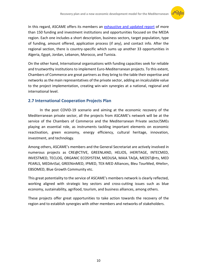

In this regard, ASCAME offers its members an [exhaustive and updated report](http://ebsomed.eu/en/content/meda-finance-2019-survey) of more than 150 funding and investment institutions and opportunities focused on the MEDA region. Each one includes a short description, business sectors, target population, type of funding, amount offered, application process (if any), and contact info. After the regional section, there is country-specific which sums up another 33 opportunities in Algeria, Egypt, Jordan, Lebanon, Morocco, and Tunisia.

On the other hand, International organisations with funding capacities seek for reliable and trustworthy institutions to implement Euro-Mediterranean projects. To this extent, Chambers of Commerce are great partners as they bring to the table their expertise and networks as the main representatives of the private sector, adding an incalculable value to the project implementation, creating win-win synergies at a national, regional and international level.

#### **2.7 International Cooperation Projects Plan**

In the post COVID-19 scenario and aiming at the economic recovery of the Mediterranean private sector, all the projects from ASCAME's network will be at the service of the Chambers of Commerce and the Mediterranean Private sector/SMEs playing an essential role, as instruments tackling important elements on economic reactivation, green economy, energy efficiency, cultural heritage, innovation, investment, and technology.

Among others, ASCAME's members and the General Secretariat are actively involved in numerous projects as CRE@CTIVE, GREENLAND, HELIOS, iHERITAGE, INTECMED, INVESTMED, TECLOG, ORGANIC ECOSYSTEM, MEDUSA, MAIA TAQA, MEDST@rts, MED PEARLS, MEDArtSal, GREENinMED, IPMED, TEX-MED Alliances, Bleu TourMed, 4Helix+, EBSOMED, Blue Growth Community etc.

This great potentiality to the service of ASCAME's members network is clearly reflected, working aligned with strategic key sectors and cross-cutting issues such as blue economy, sustainability, agrifood, tourism, and business alliances, among others.

These projects offer great opportunities to take action towards the recovery of the region and to establish synergies with other members and networks of stakeholders.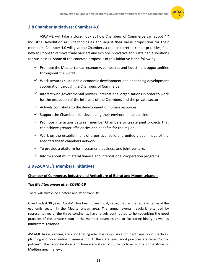

#### **2.8 Chamber Initiatives: Chamber 4.0**

ASCAME will take a closer look at how Chambers of Commerce can adopt 4<sup>th</sup> Industrial Revolution (4IR) technologies and adjust their value proposition for their members. Chamber 4.0 will give the Chambers a chance to rethink their priorities, find new solutions to remove trade barriers and explore innovative and sustainable solutions for businesses. Some of the concrete proposals of this initiative is the following:

- $\checkmark$  Promote the Mediterranean economy, companies and investment opportunities throughout the world
- $\checkmark$  Work towards sustainable economic development and enhancing development cooperation through the Chambers of Commerce.
- $\checkmark$  Interact with governmental powers, international organisations in order to work for the protection of the interests of the Chambers and the private sector.
- $\checkmark$  Actively contribute to the development of human resources.
- $\checkmark$  Support the Chambers' for developing their environmental policies.
- $\checkmark$  Promote interaction between member Chambers to create joint projects that can achieve greater efficiencies and benefits for the region.
- $\checkmark$  Work on the establishment of a positive, solid and united global image of the Mediterranean chambers network.
- $\checkmark$  To provide a platform for investment, business and joint venture.
- $\checkmark$  Inform about multilateral finance and international cooperation programs

#### **2.9 ASCAME's Members Initiatives**

#### **Chamber of Commerce, Industry and Agriculture of Beirut and Mount Lebanon**

#### *The Mediterranean after COVID-19*

There will always be a before and after covid-19.

Over the last 30 years, ASCAME has been unanimously recognised as the representative of the economic sector in the Mediterranean area. The annual events, regularly attended by representatives of the three continents, have largely contributed to homogenising the good practices of the private sector in the member countries and to facilitating binary as well as multilateral relations.

ASCAME has a planning and coordinating role. It is responsible for identifying Good Practices, planning and coordinating dissemination. At the state level, good practices are called "public policies". The rationalisation and homogenisation of public policies is the cornerstone of Mediterranean renewal.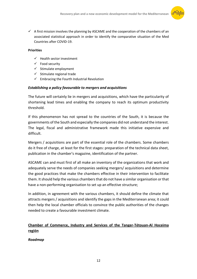

 $\checkmark$  A first mission involves the planning by ASCAME and the cooperation of the chambers of an associated statistical approach in order to identify the comparative situation of the Med Countries after COVID-19.

#### **Priorities**

- $\checkmark$  Health sector investment
- $\checkmark$  Food security
- $\checkmark$  Stimulate employment
- $\checkmark$  Stimulate regional trade
- $\checkmark$  Embracing the Fourth Industrial Revolution

#### *Establishing a policy favourable to mergers and acquisitions*

The future will certainly lie in mergers and acquisitions, which have the particularity of shortening lead times and enabling the company to reach its optimum productivity threshold.

If this phenomenon has not spread to the countries of the South, it is because the governments of the South and especially the companies did not understand the interest. The legal, fiscal and administrative framework made this initiative expensive and difficult.

Mergers / acquisitions are part of the essential role of the chambers. Some chambers do it free of charge, at least for the first stages: preparation of the technical data sheet, publication in the chamber's magazine, identification of the partner.

ASCAME can and must first of all make an inventory of the organizations that work and adequately serve the needs of companies seeking mergers/ acquisitions and determine the good practices that make the chambers effective in their intervention to facilitate them. It should help the various chambers that do not have a similar organisation or that have a non-performing organisation to set up an effective structure;

In addition, in agreement with the various chambers, it should define the climate that attracts mergers / acquisitions and identify the gaps in the Mediterranean area; it could then help the local chamber officials to convince the public authorities of the changes needed to create a favourable investment climate.

#### **Chamber of Commerce, Industry and Services of the Tanger-Tétouan-Al Hoceima región**

#### *Roadmap*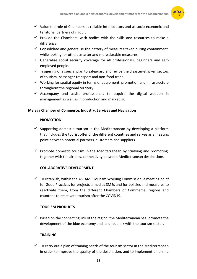

- $\checkmark$  Value the role of Chambers as reliable interlocutors and as socio-economic and territorial partners of rigour.
- $\checkmark$  Provide the Chambers' with bodies with the skills and resources to make a difference.
- $\checkmark$  Consolidate and generalise the battery of measures taken during containment, while looking for other, smarter and more durable measures.
- $\checkmark$  Generalise social security coverage for all professionals, beginners and selfemployed people.
- $\checkmark$  Triggering of a special plan to safeguard and revive the disaster-stricken sectors of tourism, passenger transport and non-food trade.
- $\checkmark$  Working for spatial equity in terms of equipment, promotion and infrastructure throughout the regional territory.
- $\checkmark$  Accompany and assist professionals to acquire the digital weapon in management as well as in production and marketing.

#### **Malaga Chamber of Commerce, Industry, Services and Navigation**

#### **PROMOTION**

- $\checkmark$  Supporting domestic tourism in the Mediterranean by developing a platform that includes the tourist offer of the different countries and serves as a meeting point between potential partners, customers and suppliers.
- $\checkmark$  Promote domestic tourism in the Mediterranean by studying and promoting, together with the airlines, connectivity between Mediterranean destinations.

#### **COLLABORATIVE DEVELOPMENT**

 $\checkmark$  To establish, within the ASCAME Tourism Working Commission, a meeting point for Good Practices for projects aimed at SMEs and for policies and measures to reactivate them, from the different Chambers of Commerce, regions and countries to reactivate tourism after the COVID19.

#### **TOURISM PRODUCTS**

 $\checkmark$  Based on the connecting link of the region, the Mediterranean Sea, promote the development of the blue economy and its direct link with the tourism sector.

#### **TRAINING**

 $\checkmark$  To carry out a plan of training needs of the tourism sector in the Mediterranean in order to improve the quality of the destination, and to implement an online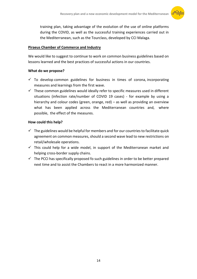

training plan, taking advantage of the evolution of the use of online platforms during the COVID, as well as the successful training experiences carried out in the Mediterranean, such as the Tourclass, developed by CCI Malaga.

#### **Piraeus Chamber of Commerce and Industry**

We would like to suggest to continue to work on common business guidelines based on lessons learned and the best practices of successful actions in our countries.

#### **What do we propose?**

- $\checkmark$  To develop common guidelines for business in times of corona, incorporating measures and learnings from the first wave.
- $\checkmark$  These common guidelines would ideally refer to specific measures used in different situations (infection rate/number of COVID 19 cases) - for example by using a hierarchy and colour codes (green, orange, red) – as well as providing an overview what has been applied across the Mediterranean countries and, where possible, the effect of the measures.

#### **How could this help?**

- $\checkmark$  The guidelines would be helpful for members and for our countries to facilitate quick agreement on common measures, should a second wave lead to new restrictions on retail/wholesale operations.
- $\checkmark$  This could help for a wide model, in support of the Mediterranean market and helping cross-border supply chains.
- $\checkmark$  The PCCI has specifically proposed fo such guidelines in order to be better prepared next time and to assist the Chambers to react in a more harmonized manner.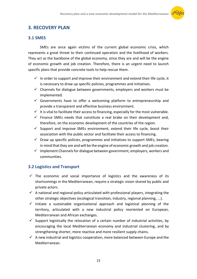

#### **3. RECOVERY PLAN**

#### **3.1 SMES**

SMEs are once again victims of the current global economic crisis, which represents a great threat to their continued operation and the livelihood of workers. They act as the backbone of the global economy, since they are and will be the engine of economic growth and job creation. Therefore, there is an urgent need to launch specific plans that provide concrete tools to help rescue them.

- $\checkmark$  In order to support and improve their environment and extend their life cycle, it is necessary to draw up specific policies, programmes and initiatives.
- $\checkmark$  Channels for dialogue between governments, employers and workers must be implemented.
- $\checkmark$  Governments have to offer a welcoming platform to entrepreneurship and provide a transparent and effective business environment.
- $I$  It is vital to facilitate their access to financing, especially for the most vulnerable.
- $\checkmark$  Finance SMEs needs that constitute a real brake on their development and, therefore, on the economic development of the countries of the region.
- $\checkmark$  Support and improve SMEs environment, extend their life cycle, boost their association with the public sector and facilitate their access to financing.
- $\checkmark$  Draw up specific policies, programmes and initiatives to support SMEs, bearing in mind that they are and will be the engine of economic growth and job creation.
- $\checkmark$  Implement Channels for dialogue between government, employers, workers and communities.

#### **3.2 Logistics and Transport**

- $\checkmark$  The economic and social importance of logistics and the awareness of its shortcomings in the Mediterranean, require a strategic vision shared by public and private actors.
- $\checkmark$  A national and regional policy articulated with professional players, integrating the other strategic objectives (ecological transition, industry, regional planning, ...).
- $\checkmark$  Initiate a sustainable organisational approach and logistical planning of the territory, articulated with a new industrial policy reoriented on European, Mediterranean and African exchanges.
- $\checkmark$  Support logistically the relocation of a certain number of industrial activities, by encouraging the local Mediterranean economy and industrial clustering, and by strengthening shorter, more reactive and more resilient supply chains.
- $\checkmark$  A new industrial and logistics cooperation, more balanced between Europe and the Mediterranean.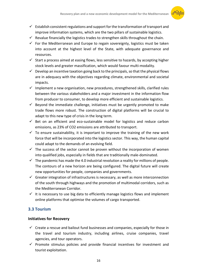

- $\checkmark$  Establish consistent regulations and support for the transformation of transport and improve information systems, which are the two pillars of sustainable logistics.
- $\checkmark$  Revalue financially the logistics trades to strengthen skills throughout the chain.
- $\checkmark$  For the Mediterranean and Europe to regain sovereignty, logistics must be taken into account at the highest level of the State, with adequate governance and resources.
- $\checkmark$  Start a process aimed at easing flows, less sensitive to hazards, by accepting higher stock levels and greater massification, which would favour multi-modality.
- $\checkmark$  Develop an incentive taxation going back to the principals, so that the physical flows are in adequacy with the objectives regarding climate, environmental and societal impacts.
- $\checkmark$  Implement a new organisation, new procedures, strengthened skills, clarified rules between the various stakeholders and a major investment in the information flow from producer to consumer, to develop more efficient and sustainable logistics.
- $\checkmark$  Beyond the immediate challenge, initiatives must be urgently promoted to make trade flows more robust. The construction of digital platforms will be crucial to adapt to this new type of crisis in the long term.
- $\checkmark$  Bet on an efficient and eco-sustainable model for logistics and reduce carbon emissions, as 23% of CO2 emissions are attributed to transport.
- $\checkmark$  To ensure sustainability, it is important to improve the training of the new work force that will be incorporated into the logistics sector. This way, the human capital could adapt to the demands of an evolving field.
- $\checkmark$  The success of the sector cannot be proven without the incorporation of women into qualified jobs, especially in fields that are traditionally male-dominated.
- $\checkmark$  The pandemic has made the 4.0 industrial revolution a reality for millions of people. The contours of a new horizon are being configured. The digital future will create new opportunities for people, companies and governments.
- $\checkmark$  Greater integration of infrastructures is necessary, as well as more interconnection of the south through highways and the promotion of multimodal corridors, such as the Mediterranean Corridor.
- $\checkmark$  It is necessary to use big data to efficiently manage logistics flows and implement online platforms that optimise the volumes of cargo transported.

#### **3.3 Tourism**

#### **Initiatives for Recovery**

- $\checkmark$  Create a rescue and bailout fund businesses and companies, especially for those in the travel and tourism industry, including airlines, cruise companies, travel agencies, and tour operators.
- $\checkmark$  Promote stimulus policies and provide financial incentives for investment and tourist exploitation.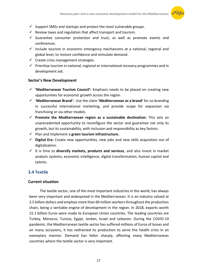

- $\checkmark$  Support SMEs and startups and protect the most vulnerable groups.
- $\checkmark$  Review taxes and regulation that affect transport and tourism.
- $\checkmark$  Guarantee consumer protection and trust, as well as promote events and conferences.
- $\checkmark$  Include tourism in economic emergency mechanisms at a national, regional and global level, to restore confidence and stimulate demand.
- $\checkmark$  Create crisis management strategies.
- $\checkmark$  Prioritise tourism in national, regional or international recovery programmes and in development aid.

#### **Sector's New Development**

- **'Mediterranean Tourism Council':** Emphasis needs to be placed on creating new opportunities for economic growth across the region
- '**Mediterranean Brand':** Use the claim '**Mediterranean as a brand'** for co-branding in successful international marketing, and provide scope for expansion via franchising or via other models.
- **Promote the Mediterranean region as a sustainable destination**: This sets an unprecedented opportunity to reconfigure the sector and guarantee not only its growth, but its sustainability, with inclusion and responsibility as key factors.
- $\checkmark$  Plan and implement a green tourism infrastructure.
- **Digital Era:** Create new opportunities, new jobs and new skills acquisition out of digitalisation.
- $\checkmark$  It is time to **diversify markets, products and services**, and also invest in market analysis systems, economic intelligence, digital transformation, human capital and talents.

#### **3.4 Textile**

#### **Current situation**

The textile sector, one of the most important industries in the world, has always been very important and widespread in the Mediterranean. It is an industry valued at 2.5 billion dollars and employs more than 60 million workers throughout the production chain, being a veritable engine of development in the region. In 2018, exports worth 15.1 billion Euros were made to European Union countries. The leading countries are Turkey, Morocco, Tunisia, Egypt, Jordan, Israel and Lebanon. During the COVID-19 pandemic, the Mediterranean textile sector has suffered millions of Euros of losses and on many occasions, it has redirected its production to serve the health crisis in an exemplary manner. Demand has fallen sharply, affecting many Mediterranean countries where the textile sector is very important.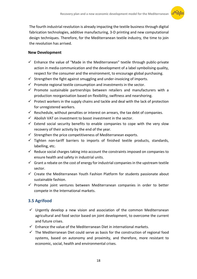

The fourth industrial revolution is already impacting the textile business through digital fabrication technologies, additive manufacturing, 3-D printing and new computational design techniques. Therefore, for the Mediterranean textile industry, the time to join the revolution has arrived.

#### **New Development**

- $\checkmark$  Enhance the value of "Made in the Mediterranean" textile through public-private action in media communication and the development of a label symbolising quality, respect for the consumer and the environment, to encourage global purchasing.
- $\checkmark$  Strengthen the fight against smuggling and under-invoicing of imports.
- $\checkmark$  Promote regional textile consumption and investments in the sector.
- $\checkmark$  Promote sustainable partnerships between retailers and manufacturers with a production reorganisation based on flexibility, swiftness and nearshoring.
- $\checkmark$  Protect workers in the supply chains and tackle and deal with the lack of protection for unregistered workers.
- $\checkmark$  Reschedule, without penalties or interest on arrears, the tax debt of companies.
- $\checkmark$  Abolish VAT on investment to boost investment in the sector.
- $\checkmark$  Extend social security benefits to enable companies to cope with the very slow recovery of their activity by the end of the year.
- $\checkmark$  Strengthen the price competitiveness of Mediterranean exports.
- $\checkmark$  Tighten non-tariff barriers to imports of finished textile products, standards, labelling, etc.
- $\checkmark$  Reduce social charges taking into account the constraints imposed on companies to ensure health and safety in industrial units.
- $\checkmark$  Grant a rebate on the cost of energy for industrial companies in the upstream textile sector.
- $\checkmark$  Create the Mediterranean Youth Fashion Platform for students passionate about sustainable fashion.
- $\checkmark$  Promote joint ventures between Mediterranean companies in order to better compete in the International markets.

#### **3.5 Agrifood**

- $\checkmark$  Urgently develop a new vision and association of the common Mediterranean agricultural and food sector based on joint development, to overcome the current and future crises.
- $\checkmark$  Enhance the value of the Mediterranean Diet in international markets.
- $\checkmark$  The Mediterranean Diet could serve as basis for the construction of regional food systems, based on autonomy and proximity, and therefore, more resistant to economic, social, health and environmental crises.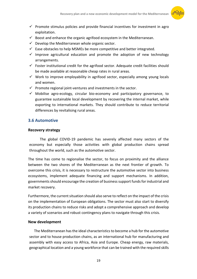

- $\checkmark$  Promote stimulus policies and provide financial incentives for investment in agro exploitation.
- $\checkmark$  Boost and enhance the organic agrifood ecosystem in the Mediterranean.
- $\checkmark$  Develop the Mediterranean whole organic sector.
- $\checkmark$  Ease obstacles to help MSMEs be more competitive and better integrated.
- $\checkmark$  Improve agricultural education and promote the adoption of new technology arrangements.
- $\checkmark$  Foster institutional credit for the agrifood sector. Adequate credit facilities should be made available at reasonable cheap rates in rural areas.
- $\checkmark$  Work to improve employability in agrifood sector, especially among young locals and women.
- $\checkmark$  Promote regional joint-ventures and investments in the sector.
- $\checkmark$  Mobilise agro-ecology, circular bio-economy and participatory governance, to guarantee sustainable local development by recovering the internal market, while exporting to international markets. They should contribute to reduce territorial differences by revitalising rural areas.

#### **3.6 Automotive**

#### **Recovery strategy**

The global COVID-19 pandemic has severely affected many sectors of the economy but especially those activities with global production chains spread throughout the world, such as the automotive sector.

The time has come to regionalise the sector, to focus on proximity and the alliance between the two shores of the Mediterranean as the next frontier of growth. To overcome this crisis, it is necessary to restructure the automotive sector into business ecosystems, implement adequate financing and support mechanisms. In addition, governments should encourage the creation of business support funds for industrial and market recovery.

Furthermore, the current situation should also serve to reflect on the impact of the crisis on the implementation of European obligations. The sector must also start to diversify its production chains to reduce risks and adopt a comprehensive approach and develop a variety of scenarios and robust contingency plans to navigate through this crisis.

#### **New development**

The Mediterranean has the ideal characteristics to become a hub for the automotive sector and to house production chains, as an international hub for manufacturing and assembly with easy access to Africa, Asia and Europe. Cheap energy, raw materials, geographical location and a young workforce that can be trained with the required skills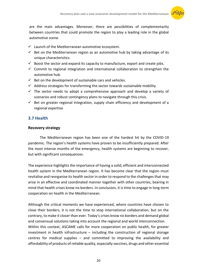

are the main advantages. Moreover, there are possibilities of complementarity between countries that could promote the region to play a leading role in the global automotive scene.

- $\checkmark$  Launch of the Mediterranean automotive ecosystem.
- $\checkmark$  Bet on the Mediterranean region as an automotive hub by taking advantage of its unique characteristics.
- $\checkmark$  Boost the sector and expand its capacity to manufacture, export and create jobs.
- $\checkmark$  Commit to regional integration and international collaboration to strengthen the automotive hub.
- $\checkmark$  Bet on the development of sustainable cars and vehicles.
- $\checkmark$  Address strategies for transforming the sector towards sustainable mobility.
- $\checkmark$  The sector needs to adopt a comprehensive approach and develop a variety of scenarios and robust contingency plans to navigate through this crisis.
- $\checkmark$  Bet on greater regional integration, supply chain efficiency and development of a regional expertise

#### **3.7 Health**

#### **Recovery strategy**

The Mediterranean region has been one of the hardest hit by the COVID-19 pandemic. The region's health systems have proven to be insufficiently prepared. After the most intense months of the emergency, health systems are beginning to recover, but with significant consequences.

The experience highlights the importance of having a solid, efficient and interconnected health system in the Mediterranean region. It has become clear that the region must revitalise and reorganise its health sector in order to respond to the challenges that may arise in an effective and coordinated manner together with other countries, bearing in mind that health crises know no borders. In conclusion, it is time to engage in long-term cooperation on health in the Mediterranean.

Although the critical moments we have experienced, where countries have chosen to close their borders, it is not the time to stop international collaboration, but on the contrary, to make it closer than ever. Today's crises know no borders and demand global and consensual solutions taking into account the regional and world interconnection. Within this context, ASCAME calls for more cooperation on public health, for greater investment in health infrastructure  $-$  including the construction of regional storage centres for medical supplies – and committed to improving the availability and affordability of products of reliable quality, especially vaccines, drugs and other essential